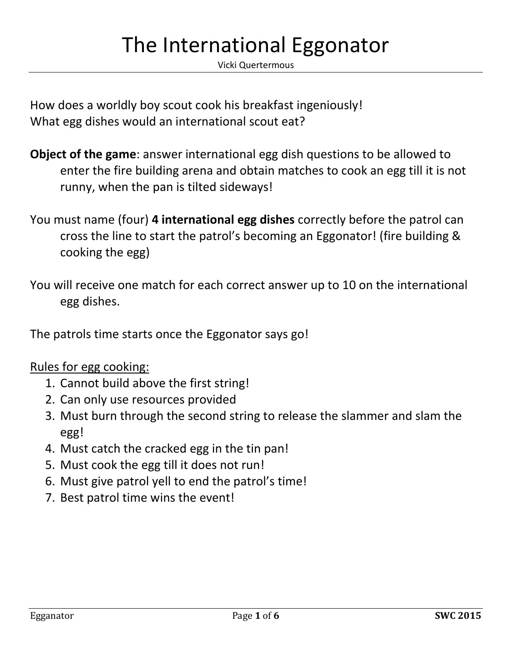## The International Eggonator

Vicki Quertermous

How does a worldly boy scout cook his breakfast ingeniously! What egg dishes would an international scout eat?

- **Object of the game**: answer international egg dish questions to be allowed to enter the fire building arena and obtain matches to cook an egg till it is not runny, when the pan is tilted sideways!
- You must name (four) **4 international egg dishes** correctly before the patrol can cross the line to start the patrol's becoming an Eggonator! (fire building & cooking the egg)

You will receive one match for each correct answer up to 10 on the international egg dishes.

The patrols time starts once the Eggonator says go!

Rules for egg cooking:

- 1. Cannot build above the first string!
- 2. Can only use resources provided
- 3. Must burn through the second string to release the slammer and slam the egg!
- 4. Must catch the cracked egg in the tin pan!
- 5. Must cook the egg till it does not run!
- 6. Must give patrol yell to end the patrol's time!
- 7. Best patrol time wins the event!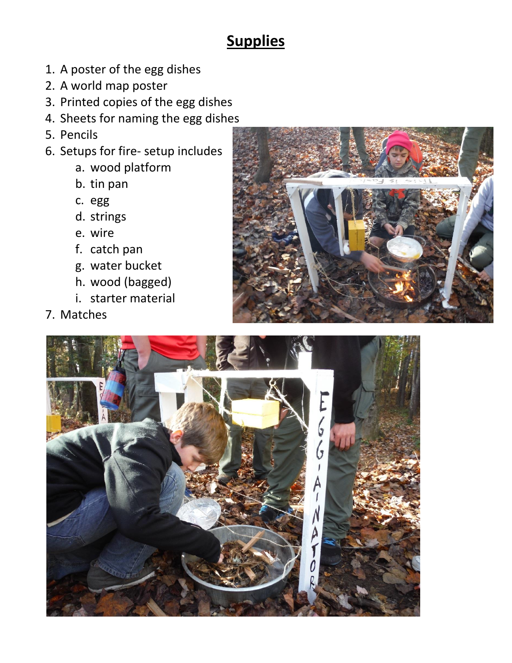## **Supplies**

- 1. A poster of the egg dishes
- 2. A world map poster
- 3. Printed copies of the egg dishes
- 4. Sheets for naming the egg dishes
- 5. Pencils
- 6. Setups for fire- setup includes
	- a. wood platform
	- b. tin pan
	- c. egg
	- d. strings
	- e. wire
	- f. catch pan
	- g. water bucket
	- h. wood (bagged)
	- i. starter material
- 7. Matches



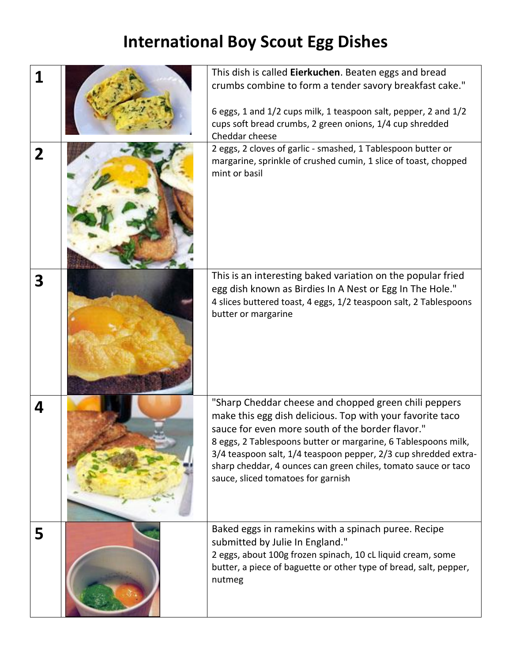## **International Boy Scout Egg Dishes**

|             | This dish is called Eierkuchen. Beaten eggs and bread                                                                                                                                                                                                                                                                                                                                                               |
|-------------|---------------------------------------------------------------------------------------------------------------------------------------------------------------------------------------------------------------------------------------------------------------------------------------------------------------------------------------------------------------------------------------------------------------------|
|             | crumbs combine to form a tender savory breakfast cake."                                                                                                                                                                                                                                                                                                                                                             |
|             | 6 eggs, 1 and 1/2 cups milk, 1 teaspoon salt, pepper, 2 and 1/2<br>cups soft bread crumbs, 2 green onions, 1/4 cup shredded<br>Cheddar cheese<br>2 eggs, 2 cloves of garlic - smashed, 1 Tablespoon butter or                                                                                                                                                                                                       |
| $\mathbf 2$ | margarine, sprinkle of crushed cumin, 1 slice of toast, chopped<br>mint or basil                                                                                                                                                                                                                                                                                                                                    |
| 3           | This is an interesting baked variation on the popular fried<br>egg dish known as Birdies In A Nest or Egg In The Hole."<br>4 slices buttered toast, 4 eggs, 1/2 teaspoon salt, 2 Tablespoons<br>butter or margarine                                                                                                                                                                                                 |
| 4           | "Sharp Cheddar cheese and chopped green chili peppers<br>make this egg dish delicious. Top with your favorite taco<br>sauce for even more south of the border flavor."<br>8 eggs, 2 Tablespoons butter or margarine, 6 Tablespoons milk,<br>3/4 teaspoon salt, 1/4 teaspoon pepper, 2/3 cup shredded extra-<br>sharp cheddar, 4 ounces can green chiles, tomato sauce or taco<br>sauce, sliced tomatoes for garnish |
| 5           | Baked eggs in ramekins with a spinach puree. Recipe<br>submitted by Julie In England."<br>2 eggs, about 100g frozen spinach, 10 cL liquid cream, some<br>butter, a piece of baguette or other type of bread, salt, pepper,<br>nutmeg                                                                                                                                                                                |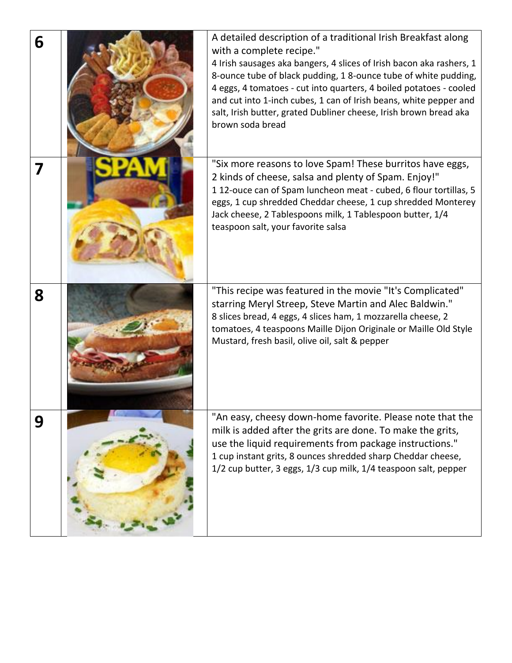| 6 | A detailed description of a traditional Irish Breakfast along<br>with a complete recipe."<br>4 Irish sausages aka bangers, 4 slices of Irish bacon aka rashers, 1<br>8-ounce tube of black pudding, 1 8-ounce tube of white pudding,<br>4 eggs, 4 tomatoes - cut into quarters, 4 boiled potatoes - cooled<br>and cut into 1-inch cubes, 1 can of Irish beans, white pepper and<br>salt, Irish butter, grated Dubliner cheese, Irish brown bread aka<br>brown soda bread |
|---|--------------------------------------------------------------------------------------------------------------------------------------------------------------------------------------------------------------------------------------------------------------------------------------------------------------------------------------------------------------------------------------------------------------------------------------------------------------------------|
| 7 | "Six more reasons to love Spam! These burritos have eggs,<br>2 kinds of cheese, salsa and plenty of Spam. Enjoy!"<br>112-ouce can of Spam luncheon meat - cubed, 6 flour tortillas, 5<br>eggs, 1 cup shredded Cheddar cheese, 1 cup shredded Monterey<br>Jack cheese, 2 Tablespoons milk, 1 Tablespoon butter, 1/4<br>teaspoon salt, your favorite salsa                                                                                                                 |
| 8 | "This recipe was featured in the movie "It's Complicated"<br>starring Meryl Streep, Steve Martin and Alec Baldwin."<br>8 slices bread, 4 eggs, 4 slices ham, 1 mozzarella cheese, 2<br>tomatoes, 4 teaspoons Maille Dijon Originale or Maille Old Style<br>Mustard, fresh basil, olive oil, salt & pepper                                                                                                                                                                |
| 9 | "An easy, cheesy down-home favorite. Please note that the<br>milk is added after the grits are done. To make the grits,<br>use the liquid requirements from package instructions."<br>1 cup instant grits, 8 ounces shredded sharp Cheddar cheese,<br>1/2 cup butter, 3 eggs, 1/3 cup milk, 1/4 teaspoon salt, pepper                                                                                                                                                    |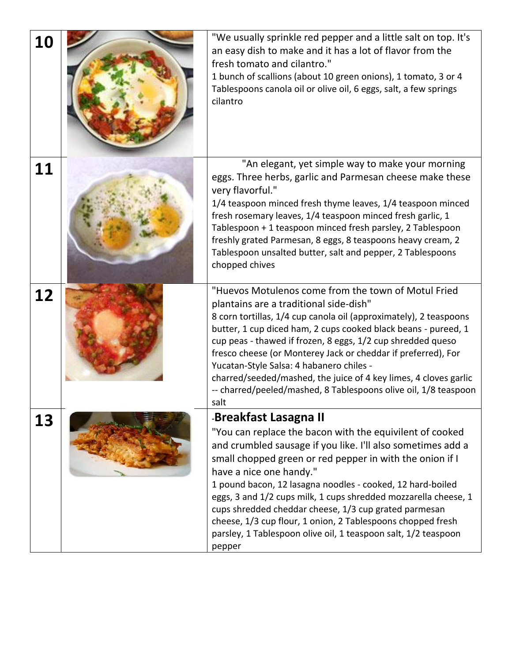| 10 | "We usually sprinkle red pepper and a little salt on top. It's<br>an easy dish to make and it has a lot of flavor from the<br>fresh tomato and cilantro."<br>1 bunch of scallions (about 10 green onions), 1 tomato, 3 or 4<br>Tablespoons canola oil or olive oil, 6 eggs, salt, a few springs<br>cilantro                                                                                                                                                                                                                                                                  |
|----|------------------------------------------------------------------------------------------------------------------------------------------------------------------------------------------------------------------------------------------------------------------------------------------------------------------------------------------------------------------------------------------------------------------------------------------------------------------------------------------------------------------------------------------------------------------------------|
| 11 | "An elegant, yet simple way to make your morning<br>eggs. Three herbs, garlic and Parmesan cheese make these<br>very flavorful."<br>1/4 teaspoon minced fresh thyme leaves, 1/4 teaspoon minced<br>fresh rosemary leaves, 1/4 teaspoon minced fresh garlic, 1<br>Tablespoon + 1 teaspoon minced fresh parsley, 2 Tablespoon<br>freshly grated Parmesan, 8 eggs, 8 teaspoons heavy cream, 2<br>Tablespoon unsalted butter, salt and pepper, 2 Tablespoons<br>chopped chives                                                                                                   |
| 12 | "Huevos Motulenos come from the town of Motul Fried<br>plantains are a traditional side-dish"<br>8 corn tortillas, 1/4 cup canola oil (approximately), 2 teaspoons<br>butter, 1 cup diced ham, 2 cups cooked black beans - pureed, 1<br>cup peas - thawed if frozen, 8 eggs, 1/2 cup shredded queso<br>fresco cheese (or Monterey Jack or cheddar if preferred), For<br>Yucatan-Style Salsa: 4 habanero chiles -<br>charred/seeded/mashed, the juice of 4 key limes, 4 cloves garlic<br>-- charred/peeled/mashed, 8 Tablespoons olive oil, 1/8 teaspoon<br>salt              |
| 13 | -Breakfast Lasagna II<br>"You can replace the bacon with the equivilent of cooked<br>and crumbled sausage if you like. I'll also sometimes add a<br>small chopped green or red pepper in with the onion if I<br>have a nice one handy."<br>1 pound bacon, 12 lasagna noodles - cooked, 12 hard-boiled<br>eggs, 3 and 1/2 cups milk, 1 cups shredded mozzarella cheese, 1<br>cups shredded cheddar cheese, 1/3 cup grated parmesan<br>cheese, 1/3 cup flour, 1 onion, 2 Tablespoons chopped fresh<br>parsley, 1 Tablespoon olive oil, 1 teaspoon salt, 1/2 teaspoon<br>pepper |